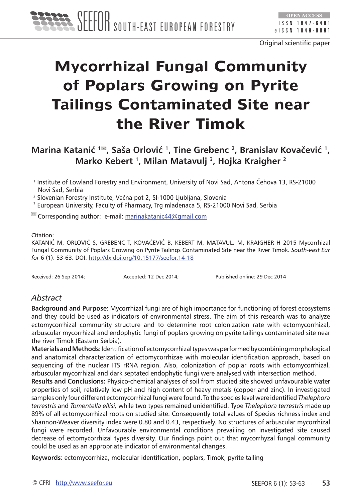

# **Mycorrhizal Fungal Community of Poplars Growing on Pyrite Tailings Contaminated Site near the River Timok**

## **Marina Katanić <sup>1</sup> , Saša Orlović 1, Tine Grebenc 2, Branislav Kovačević 1, Marko Kebert 1, Milan Matavulj 3, Hojka Kraigher 2**

<sup>1</sup> Institute of Lowland Forestry and Environment, University of Novi Sad, Antona Čehova 13, RS-21000 Novi Sad, Serbia

2 Slovenian Forestry Institute, Večna pot 2, SI-1000 Ljubljana, Slovenia

<sup>3</sup> European University, Faculty of Pharmacy, Trg mladenaca 5, RS-21000 Novi Sad, Serbia

 $\leq$  Corresponding author: e-mail: [marinakatanic44@gmail.com](E:\DIJANA\seefor\magazin\11\katanic\marinakatanic44@gmail.com)

#### Citation:

KATANIĆ M, ORLOVIĆ S, GREBENC T, KOVAČEVIĆ B, KEBERT M, MATAVULJ M, KRAIGHER H 2015 Mycorrhizal Fungal Community of Poplars Growing on Pyrite Tailings Contaminated Site near the River Timok. *South-east Eur for* 6 (1): 53-63. DOI:<http://dx.doi.org/10.15177/seefor.14-18>

Received: 26 Sep 2014; <br>
Accepted: 12 Dec 2014; <br>
Published online: 29 Dec 2014

#### *Abstract*

**Background and Purpose**: Mycorrhizal fungi are of high importance for functioning of forest ecosystems and they could be used as indicators of environmental stress. The aim of this research was to analyze ectomycorrhizal community structure and to determine root colonization rate with ectomycorrhizal, arbuscular mycorrhizal and endophytic fungi of poplars growing on pyrite tailings contaminated site near the river Timok (Eastern Serbia).

**Materials and Methods:** Identification of ectomycorrhizal types was performed by combining morphological and anatomical characterization of ectomycorrhizae with molecular identification approach, based on sequencing of the nuclear ITS rRNA region. Also, colonization of poplar roots with ectomycorrhizal, arbuscular mycorrhizal and dark septated endophytic fungi were analysed with intersection method.

**Results and Conclusions:** Physico-chemical analyses of soil from studied site showed unfavourable water properties of soil, relatively low pH and high content of heavy metals (copper and zinc). In investigated samples only four different ectomycorrhizal fungi were found. To the species level were identified *Thelephora terrestris* and *Tomentella ellisi,* while two types remained unidentified. Type *Thelephora terrestris* made up 89% of all ectomycorrhizal roots on studied site. Consequently total values of Species richness index and Shannon-Weaver diversity index were 0.80 and 0.43, respectively. No structures of arbuscular mycorrhizal fungi were recorded. Unfavourable environmental conditions prevailing on investigated site caused decrease of ectomycorrhizal types diversity. Our findings point out that mycorrhyzal fungal community could be used as an appropriate indicator of environmental changes.

**Keywords**: ectomycorrhiza, molecular identification, poplars, Timok, pyrite tailing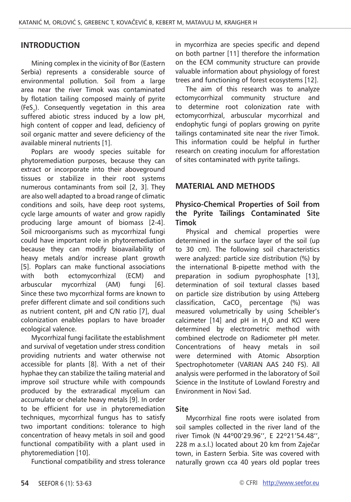#### **INTRODUCTION**

Mining complex in the vicinity of Bor (Eastern Serbia) represents a considerable source of environmental pollution. Soil from a large area near the river Timok was contaminated by flotation tailing composed mainly of pyrite (FeS<sub>2</sub>). Consequently vegetation in this area suffered abiotic stress induced by a low pH, high content of copper and lead, deficiency of soil organic matter and severe deficiency of the available mineral nutrients [1].

Poplars are woody species suitable for phytoremediation purposes, because they can extract or incorporate into their aboveground tissues or stabilize in their root systems numerous contaminants from soil [2, 3]. They are also well adapted to a broad range of climatic conditions and soils, have deep root systems, cycle large amounts of water and grow rapidly producing large amount of biomass [2-4]. Soil microorganisms such as mycorrhizal fungi could have important role in phytoremediation because they can modify bioavailability of heavy metals and/or increase plant growth [5]. Poplars can make functional associations with both ectomycorrhizal (ECM) and arbuscular mycorrhizal (AM) fungi [6]. Since these two mycorrhizal forms are known to prefer different climate and soil conditions such as nutrient content, pH and C/N ratio [7], dual colonization enables poplars to have broader ecological valence.

Mycorrhizal fungi facilitate the establishment and survival of vegetation under stress condition providing nutrients and water otherwise not accessible for plants [8]. With a net of their hyphae they can stabilize the tailing material and improve soil structure while with compounds produced by the extraradical mycelium can accumulate or chelate heavy metals [9]. In order to be efficient for use in phytoremediation techniques, mycorrhizal fungus has to satisfy two important conditions: tolerance to high concentration of heavy metals in soil and good functional compatibility with a plant used in phytoremediation [10].

Functional compatibility and stress tolerance

in mycorrhiza are species specific and depend on both partner [11] therefore the information on the ECM community structure can provide valuable information about physiology of forest trees and functioning of forest ecosystems [12].

The aim of this research was to analyze ectomycorrhizal community structure and to determine root colonization rate with ectomycorrhizal, arbuscular mycorrhizal and endophytic fungi of poplars growing on pyrite tailings contaminated site near the river Timok. This information could be helpful in further research on creating inoculum for afforestation of sites contaminated with pyrite tailings.

#### **MATERIAL AND METHODS**

#### **Physico-Chemical Properties of Soil from the Pyrite Tailings Contaminated Site Timok**

Physical and chemical properties were determined in the surface layer of the soil (up to 30 cm). The following soil characteristics were analyzed: particle size distribution (%) by the international B-pipette method with the preparation in sodium pyrophosphate [13], determination of soil textural classes based on particle size distribution by using Atteberg classification,  $CaCO<sub>3</sub>$  percentage (%) was measured volumetrically by using Scheibler's calcimeter  $[14]$  and pH in  $H$ <sub>2</sub>O and KCl were determined by electrometric method with combined electrode on Radiometer pH meter. Concentrations of heavy metals in soil were determined with Atomic Absorption Spectrophotometer (VARIAN AAS 240 FS). All analysis were performed in the laboratory of Soil Science in the Institute of Lowland Forestry and Environment in Novi Sad.

#### **Site**

Mycorrhizal fine roots were isolated from soil samples collected in the river land of the river Timok (N 44º00'29.96'', E 22º21'54.48'', 228 m a.s.l.) located about 20 km from Zaječar town, in Eastern Serbia. Site was covered with naturally grown cca 40 years old poplar trees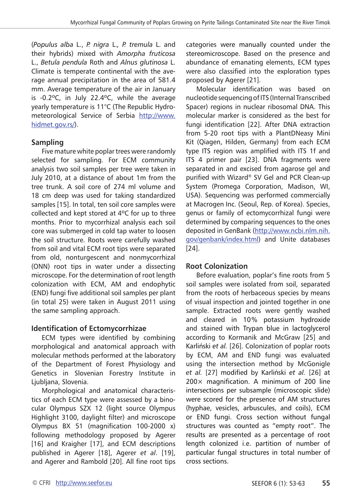(*Populus alba* L., *P. nigra* L.*, P. tremula* L. and their hybrids) mixed with *Amorpha fruticosa*  L., *Betula pendula* Roth and *Alnus glutinosa* L. Climate is temperate continental with the average annual precipitation in the area of 581.4 mm. Average temperature of the air in January is -0.2ºC, in July 22.4ºC, while the average yearly temperature is 11°C (The Republic Hydrometeorological Service of Serbia [http://www.](http://www.hidmet.gov.rs/) [hidmet.gov.rs/](http://www.hidmet.gov.rs/)).

#### **Sampling**

Five mature white poplar trees were randomly selected for sampling. For ECM community analysis two soil samples per tree were taken in July 2010, at a distance of about 1m from the tree trunk. A soil core of 274 ml volume and 18 cm deep was used for taking standardized samples [15]. In total, ten soil core samples were collected and kept stored at 4ºC for up to three months. Prior to mycorrhizal analysis each soil core was submerged in cold tap water to loosen the soil structure. Roots were carefully washed from soil and vital ECM root tips were separated from old, nonturgescent and nonmycorrhizal (ONN) root tips in water under a dissecting microscope. For the determination of root length colonization with ECM, AM and endophytic (END) fungi five additional soil samples per plant (in total 25) were taken in August 2011 using the same sampling approach.

#### **Identification of Ectomycorrhizae**

ECM types were identified by combining morphological and anatomical approach with molecular methods performed at the laboratory of the Department of Forest Physiology and Genetics in Slovenian Forestry Institute in Ljubljana, Slovenia.

Morphological and anatomical characteristics of each ECM type were assessed by a binocular Olympus SZX 12 (light source Olympus Highlight 3100, daylight filter) and microscope Olympus BX 51 (magnification 100-2000 x) following methodology proposed by Agerer [16] and Kraigher [17], and ECM descriptions published in Agerer [18], Agerer *et al*. [19], and Agerer and Rambold [20]. All fine root tips categories were manually counted under the stereomicroscope. Based on the presence and abundance of emanating elements, ECM types were also classified into the exploration types proposed by Agerer [21].

Molecular identification was based on nucleotide sequencing of ITS (Internal Transcribed Spacer) regions in nuclear ribosomal DNA. This molecular marker is considered as the best for fungi identification [22]. After DNA extraction from 5-20 root tips with a PlantDNeasy Mini Kit (Qiagen, Hilden, Germany) from each ECM type ITS region was amplified with ITS 1f and ITS 4 primer pair [23]. DNA fragments were separated in and excised from agarose gel and purified with Wizard® SV Gel and PCR Clean-up System (Promega Corporation, Madison, WI, USA). Sequencing was performed commercially at Macrogen Inc. (Seoul, Rep. of Korea). Species, genus or family of ectomycorrhizal fungi were determined by comparing sequences to the ones deposited in GenBank ([http://www.ncbi.nlm.nih.](http://www.ncbi.nlm.nih.gov/genbank/index.html) [gov/genbank/index.html\)](http://www.ncbi.nlm.nih.gov/genbank/index.html) and Unite databases [24].

#### **Root Colonization**

Before evaluation, poplar's fine roots from 5 soil samples were isolated from soil, separated from the roots of herbaceous species by means of visual inspection and jointed together in one sample. Extracted roots were gently washed and cleared in 10% potassium hydroxide and stained with Trypan blue in lactoglycerol according to Kormanik and McGraw [25] and Karliński et al. [26]. Colonization of poplar roots by ECM, AM and END fungi was evaluated using the intersection method by McGonigle et al. [27] modified by Karliński et al. [26] at 200× magnification. A minimum of 200 line intersections per subsample (microscopic slide) were scored for the presence of AM structures (hyphae, vesicles, arbuscules, and coils), ECM or END fungi. Cross section without fungal structures was counted as "empty root". The results are presented as a percentage of root length colonized i.e. partition of number of particular fungal structures in total number of cross sections.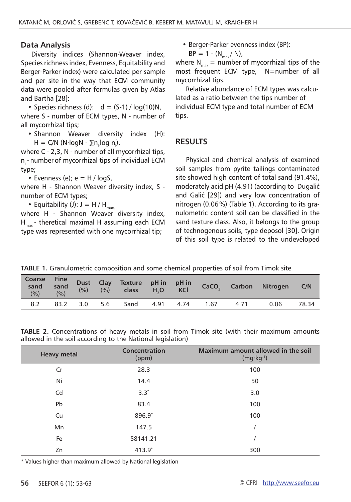#### **Data Analysis**

Diversity indices (Shannon-Weaver index, Species richness index, Evenness, Equitability and Berger-Parker index) were calculated per sample and per site in the way that ECM community data were pooled after formulas given by Atlas and Bartha [28]:

• Species richness (d):  $d = (S-1) / log(10)N$ , where S - number of ECM types, N - number of all mycorrhizal tips;

• Shannon Weaver diversity index (H): H = C/N (N∙logN -  $\sum n_i \log n_i$ ),

where C - 2,3, N - number of all mycorrhizal tips,  $n<sub>i</sub>$  - number of mycorrhizal tips of individual ECM type;

• Evenness (e);  $e = H / log S$ ,

where H - Shannon Weaver diversity index, S number of ECM types;

• Equitability (J):  $J = H/H_{max}$ 

where H - Shannon Weaver diversity index,  $H_{\text{max}}$  - theretical maximal H assuming each ECM type was represented with one mycorrhizal tip;

• Berger-Parker evenness index (BP):

 $BP = 1 - (N_{max}/ N),$ 

where  $N_{max}$  = number of mycorrhizal tips of the most frequent ECM type, N=number of all mycorrhizal tips.

Relative abundance of ECM types was calculated as a ratio between the tips number of individual ECM type and total number of ECM tips.

#### **RESULTS**

Physical and chemical analysis of examined soil samples from pyrite tailings contaminated site showed high content of total sand (91.4%), moderately acid pH (4.91) (according to Dugalić and Galić [29]) and very low concentration of nitrogen (0.06%) (Table 1). According to its granulometric content soil can be classified in the sand texture class. Also, it belongs to the group of technogenous soils, type deposol [30]. Origin of this soil type is related to the undeveloped

|  | <b>TABLE 1.</b> Granulometric composition and some chemical properties of soil from Timok site |  |  |
|--|------------------------------------------------------------------------------------------------|--|--|
|  |                                                                                                |  |  |

|     |  |                                       |  |  | Coarse Fine<br>sand sand Dust Clay Texture pH_in pH_in<br>(%) (%) (%) (%) class H <sub>2</sub> O KCl CaCO <sub>3</sub> Carbon Nitrogen C/N |  |
|-----|--|---------------------------------------|--|--|--------------------------------------------------------------------------------------------------------------------------------------------|--|
| 8.2 |  | 83.2 3.0 5.6 Sand 4.91 4.74 1.67 4.71 |  |  | 0.06 78.34                                                                                                                                 |  |

**TABLE 2.** Concentrations of heavy metals in soil from Timok site (with their maximum amounts allowed in the soil according to the National legislation)

| <b>Heavy metal</b> | Concentration<br>(ppm) | Maximum amount allowed in the soil<br>$(mg \cdot kg^{-1})$ |
|--------------------|------------------------|------------------------------------------------------------|
| Cr                 | 28.3                   | 100                                                        |
| Ni                 | 14.4                   | 50                                                         |
| Cd                 | $3.3*$                 | 3.0                                                        |
| Pb                 | 83.4                   | 100                                                        |
| Cu                 | 896.9*                 | 100                                                        |
| Mn                 | 147.5                  |                                                            |
| Fe                 | 58141.21               |                                                            |
| Zn                 | $413.9*$               | 300                                                        |

\* Values higher than maximum allowed by National legislation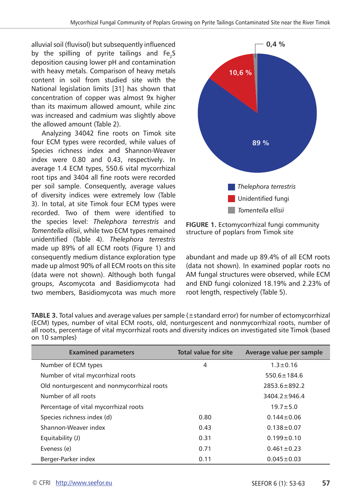alluvial soil (fluvisol) but subsequently influenced by the spilling of pyrite tailings and Fe<sub>2</sub>S deposition causing lower pH and contamination with heavy metals. Comparison of heavy metals content in soil from studied site with the National legislation limits [31] has shown that concentration of copper was almost 9x higher than its maximum allowed amount, while zinc was increased and cadmium was slightly above the allowed amount (Table 2).

Analyzing 34042 fine roots on Timok site four ECM types were recorded, while values of Species richness index and Shannon-Weaver index were 0.80 and 0.43, respectively**.** In average 1.4 ECM types, 550.6 vital mycorrhizal root tips and 3404 all fine roots were recorded per soil sample. Consequently, average values of diversity indices were extremely low (Table 3). In total, at site Timok four ECM types were recorded. Two of them were identified to the species level: *Thelephora terrestris* and *Tomentella ellisii*, while two ECM types remained unidentified (Table 4). *Thelephora terrestris*  made up 89% of all ECM roots (Figure 1) and consequently medium distance exploration type made up almost 90% of all ECM roots on this site (data were not shown). Although both fungal groups, Ascomycota and Basidiomycota had two members, Basidiomycota was much more



**FIGURE 1.** Ectomycorrhizal fungi community structure of poplars from Timok site

abundant and made up 89.4% of all ECM roots (data not shown). In examined poplar roots no AM fungal structures were observed, while ECM and END fungi colonized 18.19% and 2.23% of root length, respectively (Table 5).

| <b>Examined parameters</b>                 | Total value for site | Average value per sample |
|--------------------------------------------|----------------------|--------------------------|
| Number of ECM types                        | 4                    | $1.3 \pm 0.16$           |
| Number of vital mycorrhizal roots          |                      | $550.6 \pm 184.6$        |
| Old nonturgescent and nonmycorrhizal roots |                      | $2853.6 \pm 892.2$       |
| Number of all roots                        |                      | $3404.2 + 946.4$         |
| Percentage of vital mycorrhizal roots      |                      | $19.7 + 5.0$             |
| Species richness index (d)                 | 0.80                 | $0.144 + 0.06$           |
| Shannon-Weaver index                       | 0.43                 | $0.138 \pm 0.07$         |
| Equitability (J)                           | 0.31                 | $0.199 \pm 0.10$         |
| Eveness (e)                                | 0.71                 | $0.461 \pm 0.23$         |
| Berger-Parker index                        | 0.11                 | $0.045 \pm 0.03$         |

| <b>TABLE 3.</b> Total values and average values per sample $(\pm$ standard error) for number of ectomycorrhizal |
|-----------------------------------------------------------------------------------------------------------------|
| (ECM) types, number of vital ECM roots, old, nonturgescent and nonmycorrhizal roots, number of                  |
| all roots, percentage of vital mycorrhizal roots and diversity indices on investigated site Timok (based        |
| on 10 samples)                                                                                                  |
|                                                                                                                 |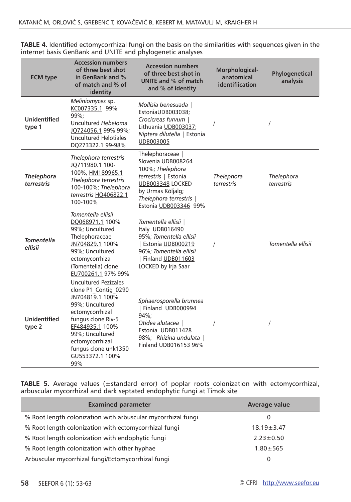| <b>ECM</b> type                 | <b>Accession numbers</b><br>of three best shot<br>in GenBank and %<br>of match and % of<br>identity                                                                                                                                           | <b>Accession numbers</b><br>of three best shot in<br>UNITE and % of match<br>and % of identity                                                                                         | Morphological-<br>anatomical<br>identifiication | Phylogenetical<br>analysis |
|---------------------------------|-----------------------------------------------------------------------------------------------------------------------------------------------------------------------------------------------------------------------------------------------|----------------------------------------------------------------------------------------------------------------------------------------------------------------------------------------|-------------------------------------------------|----------------------------|
| <b>Unidentified</b><br>type 1   | Meliniomyces sp.<br>KC007335.1 99%<br>99%:<br>Uncultured Hebeloma<br>JQ724056.1 99% 99%;<br><b>Uncultured Helotiales</b><br>DO273322.1 99-98%                                                                                                 | Mollisia benesuada<br>EstoniaUDB003038;<br>Crocicreas furvum  <br>Lithuania UDB003037;<br>Niptera dilutella   Estonia<br>UDB003005                                                     |                                                 |                            |
| <b>Thelephora</b><br>terrestris | Thelephora terrestris<br>JQ711980.1 100-<br>100%, HM189965.1<br>Thelephora terrestris<br>100-100%; Thelephora<br>terrestris HO406822.1<br>100-100%                                                                                            | Thelephoraceae  <br>Slovenia UDB008264<br>100%; Thelephora<br>terrestris   Estonia<br><b>UDB003348 LOCKED</b><br>by Urmas Kõljalg;<br>Thelephora terrestris  <br>Estonia UDB003346 99% | Thelephora<br>terrestris                        | Thelephora<br>terrestris   |
| <b>Tomentella</b><br>ellisii    | Tomentella ellisii<br>DQ068971.1 100%<br>99%; Uncultured<br>Thelephoraceae<br>JN704829.1 100%<br>99%; Uncultured<br>ectomycorrhiza<br>(Tomentella) clone<br>EU700261.1 97% 99%                                                                | Tomentella ellisii  <br>Italy UDB016490<br>95%; Tomentella ellisii<br>Estonia UDB000219<br>96%; Tomentella ellisii<br>Finland UDB011603<br>LOCKED by Irja Saar                         | $\sqrt{2}$                                      | Tomentella ellisii         |
| <b>Unidentified</b><br>type 2   | <b>Uncultured Pezizales</b><br>clone P1_Contig_0290<br>JN704819.1 100%<br>99%; Uncultured<br>ectomycorrhizal<br>fungus clone Riv-5<br>EF484935.1 100%<br>99%; Uncultured<br>ectomycorrhizal<br>fungus clone unk1350<br>GU553372.1 100%<br>99% | Sphaerosporella brunnea<br>Finland UDB000994<br>94%:<br>Otidea alutacea  <br>Estonia UDB011428<br>98%; Rhizina undulata  <br>Finland UDB016153 96%                                     |                                                 |                            |

**TABLE 4.** Identified ectomycorrhizal fungi on the basis on the similarities with sequences given in the internet basis GenBank and UNITE and phylogenetic analyses

**TABLE 5.** Average values (±standard error) of poplar roots colonization with ectomycorrhizal, arbuscular mycorrhizal and dark septated endophytic fungi at Timok site

| <b>Examined parameter</b>                                    | Average value    |
|--------------------------------------------------------------|------------------|
| % Root length colonization with arbuscular mycorrhizal fungi | 0                |
| % Root length colonization with ectomycorrhizal fungi        | $18.19 \pm 3.47$ |
| % Root length colonization with endophytic fungi             | $2.23 \pm 0.50$  |
| % Root length colonization with other hyphae                 | $1.80 \pm 565$   |
| Arbuscular mycorrhizal fungi/Ectomycorrhizal fungi           | 0                |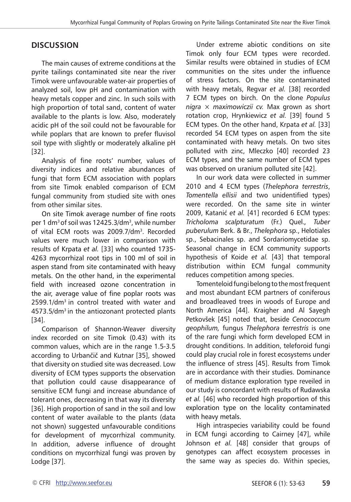### **DISCUSSION**

The main causes of extreme conditions at the pyrite tailings contaminated site near the river Timok were unfavourable water-air properties of analyzed soil, low pH and contamination with heavy metals copper and zinc. In such soils with high proportion of total sand, content of water available to the plants is low. Also, moderately acidic pH of the soil could not be favourable for while poplars that are known to prefer fluvisol soil type with slightly or moderately alkaline pH [32].

Analysis of fine roots' number, values of diversity indices and relative abundances of fungi that form ECM association with poplars from site Timok enabled comparison of ECM fungal community from studied site with ones from other similar sites.

On site Timok average number of fine roots per 1 dm<sup>3</sup> of soil was 12425.3/dm<sup>3</sup>, while number of vital ECM roots was 2009.7/dm<sup>3</sup>. Recorded values were much lower in comparison with results of Krpata *et al.* [33] who counted 1735- 4263 mycorrhizal root tips in 100 ml of soil in aspen stand from site contaminated with heavy metals. On the other hand, in the experimental field with increased ozone concentration in the air, average value of fine poplar roots was 2599.1/dm<sup>3</sup> in control treated with water and 4573.5/dm3 in the antiozonant protected plants [34].

Comparison of Shannon-Weaver diversity index recorded on site Timok (0.43) with its common values, which are in the range 1.5-3.5 according to Urbančič and Kutnar [35], showed that diversity on studied site was decreased. Low diversity of ECM types supports the observation that pollution could cause disappearance of sensitive ECM fungi and increase abundance of tolerant ones, decreasing in that way its diversity [36]. High proportion of sand in the soil and low content of water available to the plants (data not shown) suggested unfavourable conditions for development of mycorrhizal community. In addition, adverse influence of drought conditions on mycorrhizal fungi was proven by Lodge [37].

Under extreme abiotic conditions on site Timok only four ECM types were recorded. Similar results were obtained in studies of ECM communities on the sites under the influence of stress factors. On the site contaminated with heavy metals, Regvar *et al.* [38] recorded 7 ECM types on birch. On the clone *Populus nigra* × *maximowiczii cv.* Max grown as short rotation crop, Hrynkiewicz *et al.* [39] found 5 ECM types. On the other hand, Krpata *et al.* [33] recorded 54 ECM types on aspen from the site contaminated with heavy metals. On two sites polluted with zinc, Mleczko [40] recorded 23 ECM types, and the same number of ECM types was observed on uranium polluted site [42].

In our work data were collected in summer 2010 and 4 ECM types (*Thelephora terrestris*, *Tomentella ellisii* and two unidentified types) were recorded. On the same site in winter 2009, Katanić *et al.* [41] recorded 6 ECM types: *Tricholoma scalpturatum* (Fr.) Quel.*, Tuber puberulum* Berk. & Br., *Thelephora* sp., Helotiales sp., Sebacinales sp. and Sordariomycetidae sp. Seasonal change in ECM community supports hypothesis of Koide *et al.* [43] that temporal distribution within ECM fungal community reduces competition among species.

Tomenteloid fungi belong to the most frequent and most abundant ECM partners of coniferous and broadleaved trees in woods of Europe and North America [44]. Kraigher and Al Sayegh Petkovšek [45] noted that, beside *Cenococcum geophilum,* fungus *Thelephora terrestris* is one of the rare fungi which form developed ECM in drought conditions. In addition, teleforoid fungi could play crucial role in forest ecosystems under the influence of stress [45]. Results from Timok are in accordance with their studies. Dominance of medium distance exploration type reveiled in our study is concordant with results of Rudawska *et al.* [46] who recorded high proportion of this exploration type on the locality contaminated with heavy metals.

High intraspecies variability could be found in ECM fungi according to Cairney [47], while Johnson *et al.* [48] consider that groups of genotypes can affect ecosystem processes in the same way as species do. Within species,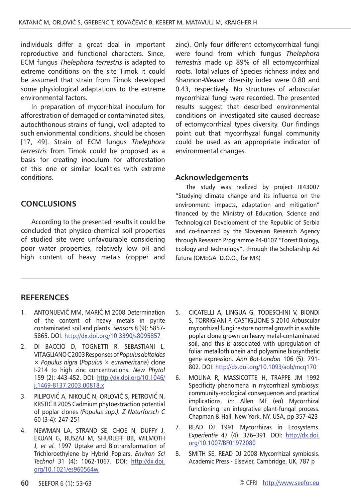individuals differ a great deal in important reproductive and functional characters. Since, ECM fungus *Thelephora terrestris* is adapted to extreme conditions on the site Timok it could be assumed that strain from Timok developed some physiological adaptations to the extreme environmental factors.

In preparation of mycorrhizal inoculum for afforestration of demaged or contaminated sites, autochthonous strains of fungi, well adapted to such envionmental conditions, should be chosen [17, 49]. Strain of ECM fungus *Thelephora terrestris* from Timok could be proposed as a basis for creatin*g* inoculum for afforestation of this one or similar localities with extreme conditions.

#### **CONCLUSIONS**

According to the presented results it could be concluded that physico-chemical soil properties of studied site were unfavourable considering poor water properties, relatively low pH and high content of heavy metals (copper and zinc). Only four different ectomycorrhizal fungi were found from which fungus *Thelephora terrestris* made up 89% of all ectomycorrhizal roots. Total values of Species richness index and Shannon-Weaver diversity index were 0.80 and 0.43, respectively. No structures of arbuscular mycorrhizal fungi were recorded. The presented results suggest that described environmental conditions on investigated site caused decrease of ectomycorrhizal types diversity. Our findings point out that mycorrhyzal fungal community could be used as an appropriate indicator of environmental changes.

#### **Acknowledgements**

The study was realized by project III43007 "Studying climate change and its influence on the environment: impacts, adaptation and mitigation" financed by the Ministry of Education, Science and Technological Development of the Republic of Serbia and co-financed by the Slovenian Research Agency through Research Programme P4-0107 "Forest Biology, Ecology and Technology", through the Scholarship Ad futura (OMEGA D.O.O., for MK)

#### **RefereNces**

- 1. ANTONIJEVIĆ MM, MARIĆ M 2008 Determination of the content of heavy metals in pyrite contaminated soil and plants. *Sensors* 8 (9): 5857- 5865. DOI:<http://dx.doi.org/10.3390/s8095857>
- 2. DI BACCIO D, TOGNETTI R, SEBASTIANI L, VITAGLIANO C 2003 Responses of *Populus deltoides*  × *Populus nigra* (*Populus* × *euramericana*) clone I-214 to high zinc concentrations. *New Phytol*  159 (2): 443-452. DOI: [http://dx.doi.org/10.1046/](http://dx.doi.org/10.1046/j.1469-8137.2003.00818.x) [j.1469-8137.2003.00818.x](http://dx.doi.org/10.1046/j.1469-8137.2003.00818.x)
- 3. PILIPOVIĆ A, NIKOLIĆ N, ORLOVIĆ S, PETROVIĆ N, KRSTIĆ B 2005 Cadmium phytoextraction potential of poplar clones *(Populus spp.). Z Naturforsch C*  60 (3-4): 247-251
- 4. NEWMAN LA, STRAND SE, CHOE N, DUFFY J, EKUAN G, RUSZAJ M, SHURLEFF BB, WILMOTH J, *et al.* 1997 Uptake and Biotransformation of Trichloroethylene by Hybrid Poplars. *Environ Sci Technol* 31 (4): 1062-1067. DOI: [http://dx.doi.](http://dx.doi.org/10.1021/es960564w) [org/10.1021/es960564w](http://dx.doi.org/10.1021/es960564w)
- 5. CICATELLI A, LINGUA G, TODESCHINI V, BIONDI S, TORRIGIANI P, CASTIGLIONE S 2010 Arbuscular mycorrhizal fungi restore normal growth in a white poplar clone grown on heavy metal-contaminated soil, and this is associated with upregulation of foliar metallothionein and polyamine biosynthetic gene expression. *Ann Bot-London* 106 (5): 791- 802. DOI: <http://dx.doi.org/10.1093/aob/mcq170>
- 6. MOLINA R, MASSICOTTE H, TRAPPE JM 1992 Specificity phenomena in mycorrhizal symbiosys: community-ecological consequences and practical implications. *In*: Allen MF (*ed*) Mycorrhizal functioning: an integrative plant-fungal process. Chapman & Hall, New York, NY, USA, pp 357-423
- 7. READ DJ 1991 Mycorrhizas in Ecosystems. *Experientia* 47 (4): 376–391. DOI: [http://dx.doi.](http://dx.doi.org/10.1007/BF01972080) [org/10.1007/BF01972080](http://dx.doi.org/10.1007/BF01972080)
- 8. SMITH SE, READ DJ 2008 Mycorrhizal symbiosis. Academic Press - Elsevier, Cambridge, UK, 787 p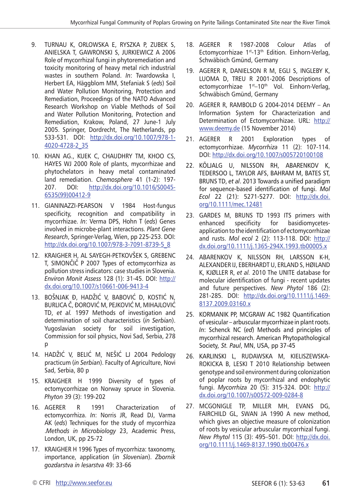- 9. TURNAU K, ORLOWSKA E, RYSZKA P, ZUBEK S, ANIELSKA T, GAWRONSKI S, JURKIEWICZ A 2006 Role of mycorrhizal fungi in phytoremediation and toxicity monitoring of heavy metal rich industrial wastes in southern Poland. *In*: Twardowska I, Herbert EA, Häggblom MM, Stefaniak S (*eds*) Soil and Water Pollution Monitoring, Protection and Remediation, Proceedings of the NATO Advanced Research Workshop on Viable Methods of Soil and Water Pollution Monitoring, Protection and Remediation, Krakow, Poland, 27 June-1 July 2005. Springer, Dordrecht, The Netherlands, pp 533-531. DOI: [http://dx.doi.org/10.1007/978-1-](http://dx.doi.org/10.1007/978-1-4020-4728-2_35) [4020-4728-2\\_35](http://dx.doi.org/10.1007/978-1-4020-4728-2_35)
- 10. KHAN AG., KUEK C, CHAUDHRY TM, KHOO CS, HAYES WJ 2000 Role of plants, mycorrhizae and phytochelators in heavy metal contaminated land remediation. *[Chemosphere](http://www.sciencedirect.com/science/journal/00456535)* [41 \(1-2](http://www.sciencedirect.com/science?_ob=PublicationURL&_hubEid=1-s2.0-S0045653500X01300&_cid=271852&_pubType=JL&view=c&_auth=y&_acct=C000228598&_version=1&_urlVersion=0&_userid=10&md5=8ca3fc123593e2929e2c306c5344316a)): 197- 207. DOI: [http://dx.doi.org/10.1016/S0045-](http://dx.doi.org/10.1016/S0045-6535(99)00412-9) [6535\(99\)00412-9](http://dx.doi.org/10.1016/S0045-6535(99)00412-9)
- 11. GIANINAZZI-PEARSON V 1984 Host-fungus specificity, recognition and compatibility in mycorrhizae. *In*: Verma DPS, Hohn T (*eds*) Genes involved in microbe-plant interactions. *Plant Gene Research*, Springer-Verlag, Wien, pp 225-253. DOI: [http://dx.doi.org/10.1007/978-3-7091-8739-5\\_8](http://dx.doi.org/10.1007/978-3-7091-8739-5_8)
- 12. KRAIGHER H, AL SAYEGH-PETKOVŠEK S, GREBENC T, SIMONČIČ P 2007 Types of ectomycorrhiza as pollution stress indicators: case studies in Slovenia. *Environ Monit Assess* 128 (1): 31-45. DOI: [http://](http://dx.doi.org/10.1007/s10661-006-9413-4) [dx.doi.org/10.1007/s10661-006-9413-4](http://dx.doi.org/10.1007/s10661-006-9413-4)
- 13. BOŠNJAK Ð, HADŽIĆ V, BABOVIĆ D, KOSTIĆ N, BURLICA Č, ÐOROVIĆ M, PEJKOVIĆ M, MIHAJLOVIĆ TD, *et al.* 1997 Methods of investigation and determination of soil characteristics (*in Serbian*). Yugoslavian society for soil investigation, Commission for soil physics, Novi Sad, Serbia, 278 p
- 14. HADŽIĆ V, BELIĆ M, NEŠIĆ LJ 2004 Pedology practicum (*in Serbian*). Faculty of Agriculture, Novi Sad, Serbia, 80 p
- 15. KRAIGHER H 1999 Diversity of types of ectomycorrhizae on Norway spruce in Slovenia. *Phyton* 39 (3): 199-202
- 16. AGERER R 1991 Characterization of ectomycorrhiza. *In*: Norris JR, Read DJ, Varma AK (*eds*) Techniques for the study of mycorrhiza .*Methods in Microbiology* 23, Academic Press, London, UK, pp 25-72
- 17. KRAIGHER H 1996 Types of mycorrhiza: taxonomy, importance, application (*in Slovenian*). *Zbornik gozdarstva in lesarstva* 49: 33-66
- 18. AGERER R 1987-2008 Colour Atlas of Ectomycorrhizae 1<sup>st</sup>-13<sup>th</sup> Edition. Einhorn-Verlag, Schwäbisch Gmünd, Germany
- 19. AGERER R, DANIELSON R M, EGLI S, INGLEBY K, LUOMA D, TREU R 2001-2006 Descriptions of ectomycorrhizae 1<sup>st</sup>-10<sup>th</sup> Vol. Einhorn-Verlag, Schwäbisch Gmünd, Germany
- 20. AGERER R, RAMBOLD G 2004-2014 DEEMY An Information System for Characterization and Determination of Ectomycorrhizae. URL: [http://](http://www.deemy.de) [www.deemy.de](http://www.deemy.de) (15 November 2014)
- 21. AGERER R 2001 Exploration types of ectomycorrhizae. *Mycorrhiza* 11 (2): 107-114. DOI: <http://dx.doi.org/10.1007/s005720100108>
- 22. KÕLJALG U, NILSSON RH, ABARENKOV K, TEDERSOO L, TAYLOR AFS, BAHRAM M, BATES ST, BRUNS TD, *et al*. 2013 Towards a unified paradigm for sequence-based identification of fungi. *Mol Ecol* 22 (21): 5271-5277. DOI: [http://dx.doi.](http://dx.doi.org/10.1111/mec.12481) [org/10.1111/mec.12481](http://dx.doi.org/10.1111/mec.12481)
- 23. GARDES M, BRUNS TD 1993 ITS primers with enhanced specificity for basidiomycetesapplication to the identification of ectomycorrhizae and rusts. *Mol ecol* 2 (2): 113-118. DOI: [http://](http://dx.doi.org/10.1111/j.1365-294X.1993.tb00005.x) [dx.doi.org/10.1111/j.1365-294X.1993.tb00005.x](http://dx.doi.org/10.1111/j.1365-294X.1993.tb00005.x)
- 24. ABARENKOV K, NILSSON RH, LARSSON K-H, ALEXANDER IJ, EBERHARDT U, ERLAND S, HØILAND K, KJØLLER R, *et al.* 2010 The UNITE database for molecular identification of fungi - recent updates and future perspectives. *[New Phytol](http://www3.interscience.wiley.com/journal/123331585/abstract)* 186 (2): [281-285](http://www3.interscience.wiley.com/journal/123331585/abstract). DOI: [http://dx.doi.org/10.1111/j.1469-](http://dx.doi.org/10.1111/j.1469-8137.2009.03160.x) [8137.2009.03160.x](http://dx.doi.org/10.1111/j.1469-8137.2009.03160.x)
- 25. KORMANIK PP, MCGRAW AC 1982 Quantification of vesicular – arbuscular mycorrhizae in plant roots. *In*: Schenck NC (*ed*) Methods and principles of mycorrhizal research. American Phytopathological Society*, St. Paul*, MN, USA, pp 37-45
- 26. KARLINSKI L, RUDAWSKA M, KIELISZEWSKA-ROKICKA B, LESKI T 2010 Relationship between genotype and soil environment during colonization of poplar roots by mycorrhizal and endophytic fungi. *Mycorrhiza* 20 (5): 315-324. DOI: [http://](http://dx.doi.org/10.1007/s00572-009-0284-8) [dx.doi.org/10.1007/s00572-009-0284-8](http://dx.doi.org/10.1007/s00572-009-0284-8)
- 27. MCGONIGLE TP, MILLER MH, EVANS DG, FAIRCHILD GL, SWAN JA 1990 A new method, which gives an objective measure of colonization of roots by vesicular arbuscular mycorrhizal fungi. *New Phytol* 115 (3): 495–501. DOI: [http://dx.doi.](http://dx.doi.org/10.1111/j.1469-8137.1990.tb00476.x) [org/10.1111/j.1469-8137.1990.tb00476.x](http://dx.doi.org/10.1111/j.1469-8137.1990.tb00476.x)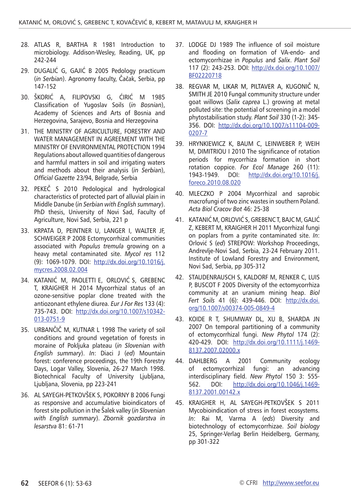- 28. ATLAS R, BARTHA R 1981 Introduction to microbiology. Addison-Wesley, Reading, UK, pp 242-244
- 29. DUGALIĆ G, GAJIĆ B 2005 Pedology practicum (*in Serbian*). Agronomy faculty, Čačak, Serbia, pp 147-152
- 30. ŠKORIĆ A, FILIPOVSKI G, ĆIRIĆ M 1985 Classification of Yugoslav Soils (*in Bosnian*), Academy of Sciences and Arts of Bosnia and Herzegovina, Sarajevo, Bosnia and Herzegovina
- 31. THE MINISTRY OF AGRICULTURE, FORESTRY AND WATER MANAGEMENT IN AGREEMENT WITH THE MINISTRY OF ENVIRONMENTAL PROTECTION 1994 Regulations about allowed quantities of dangerous and harmful matters in soil and irrigating waters and methods about their analysis (*in Serbian*), *Official Gazette* 23/94, Belgrade, Serbia
- 32. PEKEČ S 2010 Pedological and hydrological characteristics of protected part of alluvial plain in Middle Danube (*in Serbian with English summary*). PhD thesis, University of Novi Sad, Faculty of Agriculture, Novi Sad, Serbia, 221 p
- 33. KRPATA D, PEINTNER U, LANGER I, WALTER JF, SCHWEIGER P 2008 Ectomycorrhizal communities associated with *Populus tremula* growing on a heavy metal contaminated site. *Mycol res* 112 (9): 1069-1079. DOI: [http://dx.doi.org/10.1016/j.](http://dx.doi.org/10.1016/j.mycres.2008.02.004) [mycres.2008.02.004](http://dx.doi.org/10.1016/j.mycres.2008.02.004)
- 34. KATANIĆ M, PAOLETTI E, ORLOVIĆ S, GREBENC T, KRAIGHER H 2014 Mycorrhizal status of an ozone-sensitive poplar clone treated with the antiozonant ethylene diurea. *Eur J For Res* 133 (4): 735-743. DOI: [http://dx.doi.org/10.1007/s10342-](http://dx.doi.org/10.1007/s10342-013-0751-9) [013-0751-9](http://dx.doi.org/10.1007/s10342-013-0751-9)
- 35. URBANČIČ M, KUTNAR L 1998 The variety of soil conditions and ground vegetation of forests in moraine of Pokljuka plateau (*in Slovenian with English summary*). *In*: Diaci J (*ed*) Mountain forest: conference proceedings, the 19th Forestry Days, Logar Valley, Slovenia, 26-27 March 1998. Biotechnical Faculty of University Ljubljana, Ljubljana, Slovenia, pp 223-241
- 36. AL SAYEGH-PETKOVŠEK S, POKORNY B 2006 Fungi as responsive and accumulative bioindicators of forest site pollution in the Šalek valley (*in Slovenian with English summary*). *Zbornik gozdarstva in lesarstva* 81: 61-71
- 37. LODGE DJ 1989 The influence of soil moisture and flooding on formation of VA-endo- and ectomycorrhizae in *Populus* and *Salix*. *Plant Soil* 117 (2): 243-253. DOI: [http://dx.doi.org/10.1007/](http://dx.doi.org/10.1007/BF02220718) [BF02220718](http://dx.doi.org/10.1007/BF02220718)
- 38. REGVAR M, LIKAR M, PILTAVER A, KUGONIČ N, SMITH JE 2010 Fungal community structure under goat willows (*Salix caprea* L.) growing at metal polluted site: the potential of screening in a model phytostabilisation study. *Plant Soil* 330 (1-2): 345- 356. DOI: [http://dx.doi.org/10.1007/s11104-009-](http://dx.doi.org/10.1007/s11104-009-0207-7) [0207-7](http://dx.doi.org/10.1007/s11104-009-0207-7)
- 39. HRYNKIEWICZ K, BAUM C, LEINWEBER P, WEIH M, DIMITRIOU I 2010 The significance of rotation periods for mycorrhiza formation in short rotation coppice. *[For Ecol Manage](http://www.sciencedirect.com/science/journal/03781127)* [260 \(11\)](http://www.sciencedirect.com/science/journal/03781127/260/11): [http://dx.doi.org/10.1016/j.](http://dx.doi.org/10.1016/j.foreco.2010.08.020) [foreco.2010.08.020](http://dx.doi.org/10.1016/j.foreco.2010.08.020)
- 40. MLECZKO P 2004 Mycorrhizal and saprobic macrofungi of two zinc wastes in southern Poland. *Acta Biol Cracov Bot* 46: 25-38
- 41. KATANIĆ M, ORLOVIĆ S, GREBENC T, BAJC M, GALIĆ Z, KEBERT M, KRAIGHER H 2011 Mycorrhizal fungi on poplars from a pyrite contaminated site. *In*: Orlović S (*ed*) STREPOW: Workshop Proceedings, Andrevlje-Novi Sad, Serbia, 23-24 February 2011. Institute of Lowland Forestry and Environment, Novi Sad, Serbia, pp 305-312
- 42. STAUDENRAUSCH S, KALDORF M, RENKER C, LUIS P, BUSCOT F 2005 Diversity of the ectomycorrhiza community at an uranium mining heap. *Biol Fert Soils* 41 (6): 439-446. DOI: [http://dx.doi.](http://dx.doi.org/10.1007/s00374-005-0849-4) [org/10.1007/s00374-005-0849-4](http://dx.doi.org/10.1007/s00374-005-0849-4)
- 43. KOIDE R T, SHUMWAY DL, XU B, SHARDA JN 2007 On temporal partitioning of a community of ectomycorrhizal fungi. *New Phytol* 174 (2): 420-429. DOI: [http://dx.doi.org/10.1111/j.1469-](http://dx.doi.org/10.1111/j.1469-8137.2007.02000.x) [8137.2007.02000.x](http://dx.doi.org/10.1111/j.1469-8137.2007.02000.x)
- 44. DAHLBERG A 2001 Community ecology of ectomycorrhizal fungi: an advancing interdisciplinary field. *New Phytol* 150 3: 555- 562. DOI: [http://dx.doi.org/10.1046/j.1469-](http://dx.doi.org/10.1046/j.1469-8137.2001.00142.x) [8137.2001.00142.x](http://dx.doi.org/10.1046/j.1469-8137.2001.00142.x)
- 45. KRAIGHER H, AL SAYEGH-PETKOVŠEK S 2011 Mycobioindication of stress in forest ecosystems. *In*: Rai M, Varma A (*eds*) Diversity and biotechnology of ectomycorrhizae. *Soil biology* 25, Springer-Verlag Berlin Heidelberg, Germany, pp 301-322